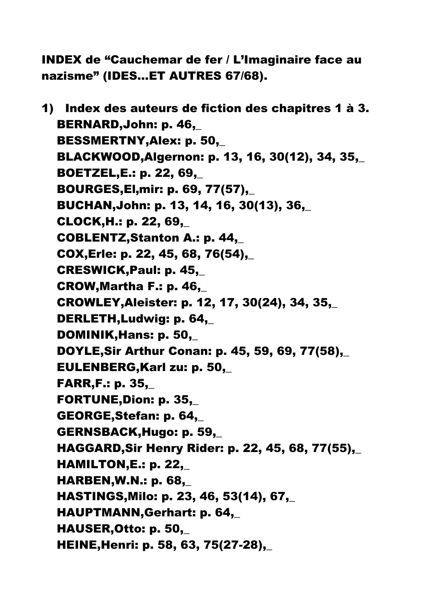INDEX de "Cauchemar de fer / L'Imaginaire face au nazisme" (IDES…ET AUTRES 67/68).

1) Index des auteurs de fiction des chapitres 1 à 3. BERNARD,John: p. 46,\_ BESSMERTNY, Alex: p. 50. BLACKWOOD,Algernon: p. 13, 16, 30(12), 34, 35,\_ BOETZEL,E.: p. 22, 69,\_ **BOURGES, El.mir: p. 69, 77(57).**  BUCHAN,John: p. 13, 14, 16, 30(13), 36,\_ CLOCK,H.: p. 22, 69,\_ COBLENTZ,Stanton A.: p. 44,\_ COX,Erle: p. 22, 45, 68, 76(54),\_ CRESWICK,Paul: p. 45,\_ CROW,Martha F.: p. 46,\_ CROWLEY,Aleister: p. 12, 17, 30(24), 34, 35,\_ DERLETH,Ludwig: p. 64,\_ DOMINIK,Hans: p. 50,\_ DOYLE,Sir Arthur Conan: p. 45, 59, 69, 77(58),\_ EULENBERG,Karl zu: p. 50,\_ FARR,F.: p. 35,\_ FORTUNE,Dion: p. 35,\_ GEORGE,Stefan: p. 64,\_ GERNSBACK,Hugo: p. 59,\_ HAGGARD,Sir Henry Rider: p. 22, 45, 68, 77(55),\_ HAMILTON,E.: p. 22,\_ HARBEN,W.N.: p. 68,\_ HASTINGS,Milo: p. 23, 46, 53(14), 67,\_ HAUPTMANN,Gerhart: p. 64,\_ HAUSER,Otto: p. 50,\_ HEINE,Henri: p. 58, 63, 75(27-28),\_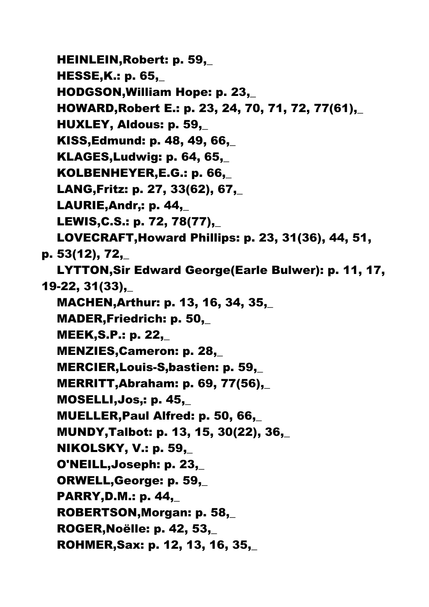HEINLEIN,Robert: p. 59,\_ HESSE,K.: p. 65,\_ HODGSON,William Hope: p. 23,\_ HOWARD,Robert E.: p. 23, 24, 70, 71, 72, 77(61),\_ HUXLEY, Aldous: p. 59,\_ KISS,Edmund: p. 48, 49, 66,\_ KLAGES,Ludwig: p. 64, 65,\_ KOLBENHEYER,E.G.: p. 66,\_ LANG,Fritz: p. 27, 33(62), 67,\_ LAURIE, Andr.: p. 44, LEWIS,C.S.: p. 72, 78(77),\_ LOVECRAFT,Howard Phillips: p. 23, 31(36), 44, 51, p. 53(12), 72,\_ LYTTON,Sir Edward George(Earle Bulwer): p. 11, 17, 19-22, 31(33),\_ MACHEN,Arthur: p. 13, 16, 34, 35,\_ MADER,Friedrich: p. 50,\_ MEEK,S.P.: p. 22,\_ MENZIES,Cameron: p. 28,\_ MERCIER, Louis-S, bastien: p. 59, MERRITT,Abraham: p. 69, 77(56),\_ **MOSELLI, Jos,: p. 45,\_**  MUELLER,Paul Alfred: p. 50, 66,\_ MUNDY,Talbot: p. 13, 15, 30(22), 36,\_ NIKOLSKY, V.: p. 59,\_ O'NEILL,Joseph: p. 23,\_ ORWELL,George: p. 59,\_ PARRY,D.M.: p. 44,\_ ROBERTSON,Morgan: p. 58,\_ ROGER,Noëlle: p. 42, 53,\_ ROHMER,Sax: p. 12, 13, 16, 35,\_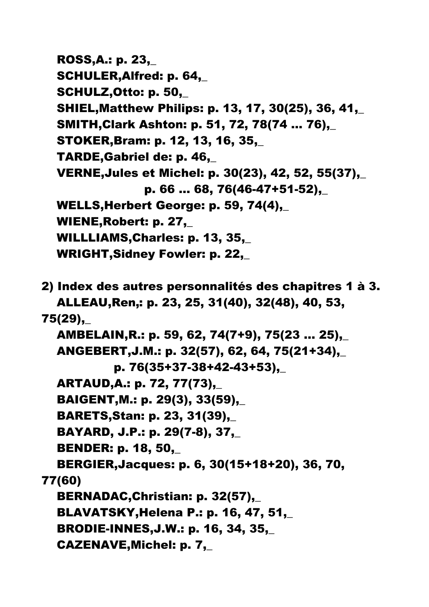ROSS,A.: p. 23,\_ SCHULER, Alfred: p. 64, SCHULZ,Otto: p. 50,\_ SHIEL,Matthew Philips: p. 13, 17, 30(25), 36, 41,\_ SMITH,Clark Ashton: p. 51, 72, 78(74 … 76),\_ STOKER,Bram: p. 12, 13, 16, 35,\_ TARDE,Gabriel de: p. 46,\_ VERNE,Jules et Michel: p. 30(23), 42, 52, 55(37),\_ p. 66 … 68, 76(46-47+51-52),\_ WELLS,Herbert George: p. 59, 74(4),\_ WIENE, Robert: p. 27, WILLLIAMS,Charles: p. 13, 35,\_ WRIGHT,Sidney Fowler: p. 22,\_ 2) Index des autres personnalités des chapitres 1 à 3. ALLEAU,Ren': p. 23, 25, 31(40), 32(48), 40, 53, 75(29),\_ AMBELAIN,R.: p. 59, 62, 74(7+9), 75(23 … 25),\_ ANGEBERT,J.M.: p. 32(57), 62, 64, 75(21+34),\_ p. 76(35+37-38+42-43+53),\_ ARTAUD,A.: p. 72, 77(73),\_ BAIGENT,M.: p. 29(3), 33(59),\_ BARETS,Stan: p. 23, 31(39),\_ BAYARD, J.P.: p. 29(7-8), 37,\_ BENDER: p. 18, 50,\_ BERGIER,Jacques: p. 6, 30(15+18+20), 36, 70, 77(60) BERNADAC,Christian: p. 32(57),\_ BLAVATSKY,Helena P.: p. 16, 47, 51,\_ BRODIE-INNES,J.W.: p. 16, 34, 35,\_ CAZENAVE,Michel: p. 7,\_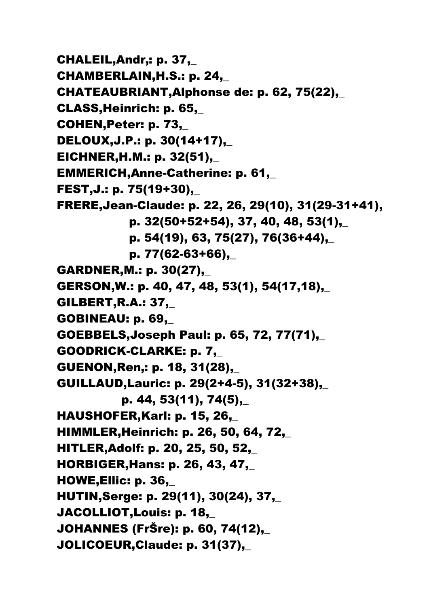CHALEIL, Andr,: p. 37, CHAMBERLAIN,H.S.: p. 24,\_ CHATEAUBRIANT,Alphonse de: p. 62, 75(22),\_ CLASS,Heinrich: p. 65,\_ COHEN,Peter: p. 73,\_ DELOUX,J.P.: p. 30(14+17),\_ EICHNER,H.M.: p. 32(51),\_ EMMERICH,Anne-Catherine: p. 61,\_ FEST,J.: p. 75(19+30),\_ FRERE,Jean-Claude: p. 22, 26, 29(10), 31(29-31+41), p. 32(50+52+54), 37, 40, 48, 53(1),\_ p. 54(19), 63, 75(27), 76(36+44),\_ p. 77(62-63+66),\_ GARDNER,M.: p. 30(27),\_ GERSON,W.: p. 40, 47, 48, 53(1), 54(17,18),\_ GILBERT,R.A.: 37,\_ GOBINEAU: p. 69,\_ GOEBBELS,Joseph Paul: p. 65, 72, 77(71),\_ GOODRICK-CLARKE: p. 7,\_ GUENON, Ren,: p. 18, 31(28), GUILLAUD,Lauric: p. 29(2+4-5), 31(32+38),\_ p. 44, 53(11), 74(5),\_ HAUSHOFER,Karl: p. 15, 26,\_ HIMMLER,Heinrich: p. 26, 50, 64, 72,\_ HITLER,Adolf: p. 20, 25, 50, 52,\_ HORBIGER,Hans: p. 26, 43, 47,\_ HOWE,Ellic: p. 36,\_ HUTIN,Serge: p. 29(11), 30(24), 37,\_ JACOLLIOT,Louis: p. 18,\_ JOHANNES (FrŠre): p. 60, 74(12),\_ JOLICOEUR,Claude: p. 31(37),\_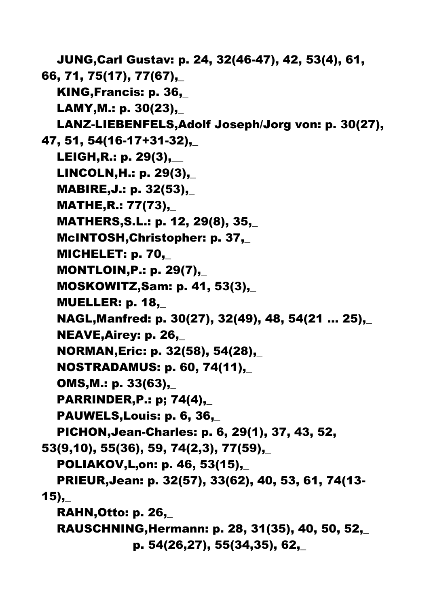JUNG,Carl Gustav: p. 24, 32(46-47), 42, 53(4), 61, 66, 71, 75(17), 77(67),\_ KING,Francis: p. 36,\_ LAMY,M.: p. 30(23),\_ LANZ-LIEBENFELS,Adolf Joseph/Jorg von: p. 30(27), 47, 51, 54(16-17+31-32),\_ LEIGH,R.: p. 29(3),\_\_ LINCOLN,H.: p. 29(3),\_ MABIRE,J.: p. 32(53),\_ MATHE,R.: 77(73),\_ MATHERS,S.L.: p. 12, 29(8), 35,\_ McINTOSH,Christopher: p. 37,\_ MICHELET: p. 70,\_ MONTLOIN,P.: p. 29(7),\_ MOSKOWITZ,Sam: p. 41, 53(3),\_ MUELLER: p. 18,\_ NAGL,Manfred: p. 30(27), 32(49), 48, 54(21 … 25),\_ NEAVE,Airey: p. 26,\_ NORMAN,Eric: p. 32(58), 54(28),\_ NOSTRADAMUS: p. 60, 74(11),\_ OMS,M.: p. 33(63),\_ PARRINDER,P.: p; 74(4),\_ PAUWELS,Louis: p. 6, 36,\_ PICHON,Jean-Charles: p. 6, 29(1), 37, 43, 52, 53(9,10), 55(36), 59, 74(2,3), 77(59),\_ POLIAKOV, L, on: p. 46, 53(15), PRIEUR,Jean: p. 32(57), 33(62), 40, 53, 61, 74(13-  $15$ ), RAHN,Otto: p. 26,\_ RAUSCHNING,Hermann: p. 28, 31(35), 40, 50, 52,\_ p. 54(26,27), 55(34,35), 62,\_